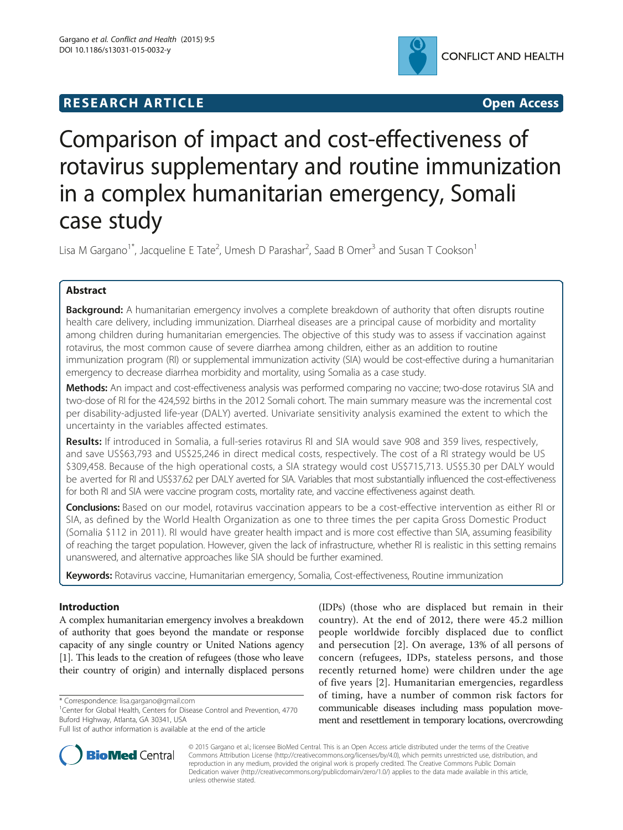# **RESEARCH ARTICLE Example 2014 CONSIDERING CONSIDERING CONSIDERING CONSIDERING CONSIDERING CONSIDERING CONSIDERING CONSIDERING CONSIDERING CONSIDERING CONSIDERING CONSIDERING CONSIDERING CONSIDERING CONSIDERING CONSIDE**



# Comparison of impact and cost-effectiveness of rotavirus supplementary and routine immunization in a complex humanitarian emergency, Somali case study

Lisa M Gargano<sup>1\*</sup>, Jacqueline E Tate<sup>2</sup>, Umesh D Parashar<sup>2</sup>, Saad B Omer<sup>3</sup> and Susan T Cookson<sup>1</sup>

# Abstract

Background: A humanitarian emergency involves a complete breakdown of authority that often disrupts routine health care delivery, including immunization. Diarrheal diseases are a principal cause of morbidity and mortality among children during humanitarian emergencies. The objective of this study was to assess if vaccination against rotavirus, the most common cause of severe diarrhea among children, either as an addition to routine immunization program (RI) or supplemental immunization activity (SIA) would be cost-effective during a humanitarian emergency to decrease diarrhea morbidity and mortality, using Somalia as a case study.

Methods: An impact and cost-effectiveness analysis was performed comparing no vaccine; two-dose rotavirus SIA and two-dose of RI for the 424,592 births in the 2012 Somali cohort. The main summary measure was the incremental cost per disability-adjusted life-year (DALY) averted. Univariate sensitivity analysis examined the extent to which the uncertainty in the variables affected estimates.

Results: If introduced in Somalia, a full-series rotavirus RI and SIA would save 908 and 359 lives, respectively, and save US\$63,793 and US\$25,246 in direct medical costs, respectively. The cost of a RI strategy would be US \$309,458. Because of the high operational costs, a SIA strategy would cost US\$715,713. US\$5.30 per DALY would be averted for RI and US\$37.62 per DALY averted for SIA. Variables that most substantially influenced the cost-effectiveness for both RI and SIA were vaccine program costs, mortality rate, and vaccine effectiveness against death.

**Conclusions:** Based on our model, rotavirus vaccination appears to be a cost-effective intervention as either RI or SIA, as defined by the World Health Organization as one to three times the per capita Gross Domestic Product (Somalia \$112 in 2011). RI would have greater health impact and is more cost effective than SIA, assuming feasibility of reaching the target population. However, given the lack of infrastructure, whether RI is realistic in this setting remains unanswered, and alternative approaches like SIA should be further examined.

Keywords: Rotavirus vaccine, Humanitarian emergency, Somalia, Cost-effectiveness, Routine immunization

# Introduction

A complex humanitarian emergency involves a breakdown of authority that goes beyond the mandate or response capacity of any single country or United Nations agency [[1\]](#page-8-0). This leads to the creation of refugees (those who leave their country of origin) and internally displaced persons

(IDPs) (those who are displaced but remain in their country). At the end of 2012, there were 45.2 million people worldwide forcibly displaced due to conflict and persecution [[2\]](#page-8-0). On average, 13% of all persons of concern (refugees, IDPs, stateless persons, and those recently returned home) were children under the age of five years [[2\]](#page-8-0). Humanitarian emergencies, regardless of timing, have a number of common risk factors for communicable diseases including mass population movement and resettlement in temporary locations, overcrowding



© 2015 Gargano et al.; licensee BioMed Central. This is an Open Access article distributed under the terms of the Creative Commons Attribution License [\(http://creativecommons.org/licenses/by/4.0\)](http://creativecommons.org/licenses/by/4.0), which permits unrestricted use, distribution, and reproduction in any medium, provided the original work is properly credited. The Creative Commons Public Domain Dedication waiver [\(http://creativecommons.org/publicdomain/zero/1.0/](http://creativecommons.org/publicdomain/zero/1.0/)) applies to the data made available in this article, unless otherwise stated.

<sup>\*</sup> Correspondence: [lisa.gargano@gmail.com](mailto:lisa.gargano@gmail.com) <sup>1</sup>

<sup>&</sup>lt;sup>1</sup> Center for Global Health, Centers for Disease Control and Prevention, 4770 Buford Highway, Atlanta, GA 30341, USA

Full list of author information is available at the end of the article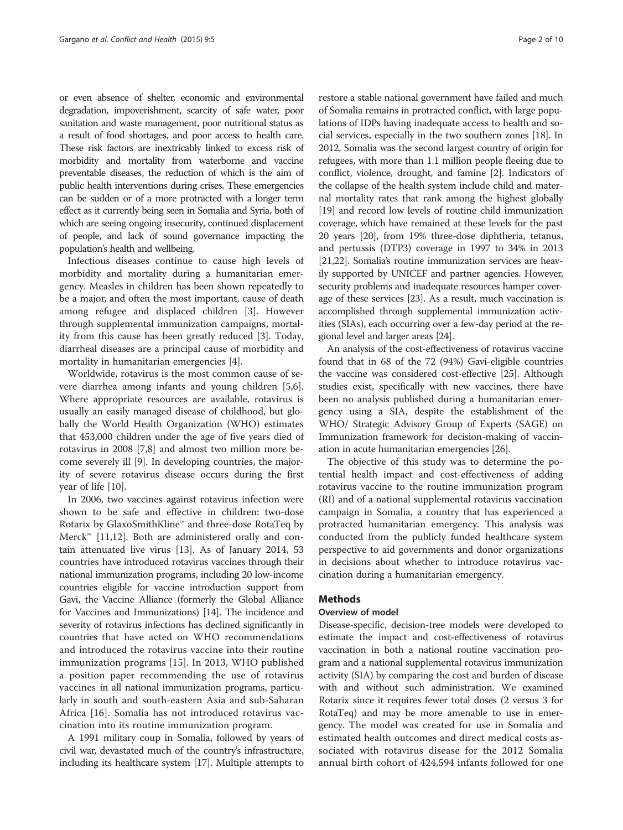or even absence of shelter, economic and environmental degradation, impoverishment, scarcity of safe water, poor sanitation and waste management, poor nutritional status as a result of food shortages, and poor access to health care. These risk factors are inextricably linked to excess risk of morbidity and mortality from waterborne and vaccine preventable diseases, the reduction of which is the aim of public health interventions during crises. These emergencies can be sudden or of a more protracted with a longer term effect as it currently being seen in Somalia and Syria, both of which are seeing ongoing insecurity, continued displacement of people, and lack of sound governance impacting the population's health and wellbeing.

Infectious diseases continue to cause high levels of morbidity and mortality during a humanitarian emergency. Measles in children has been shown repeatedly to be a major, and often the most important, cause of death among refugee and displaced children [\[3\]](#page-8-0). However through supplemental immunization campaigns, mortality from this cause has been greatly reduced [[3\]](#page-8-0). Today, diarrheal diseases are a principal cause of morbidity and mortality in humanitarian emergencies [[4\]](#page-8-0).

Worldwide, rotavirus is the most common cause of severe diarrhea among infants and young children [\[5,6](#page-8-0)]. Where appropriate resources are available, rotavirus is usually an easily managed disease of childhood, but globally the World Health Organization (WHO) estimates that 453,000 children under the age of five years died of rotavirus in 2008 [[7,8\]](#page-8-0) and almost two million more become severely ill [\[9](#page-8-0)]. In developing countries, the majority of severe rotavirus disease occurs during the first year of life [[10\]](#page-8-0).

In 2006, two vaccines against rotavirus infection were shown to be safe and effective in children: two-dose Rotarix by GlaxoSmithKline™ and three-dose RotaTeq by  $Merck<sup>™</sup>$  [\[11,12](#page-8-0)]. Both are administered orally and contain attenuated live virus [\[13\]](#page-8-0). As of January 2014, 53 countries have introduced rotavirus vaccines through their national immunization programs, including 20 low-income countries eligible for vaccine introduction support from Gavi, the Vaccine Alliance (formerly the Global Alliance for Vaccines and Immunizations) [\[14\]](#page-8-0). The incidence and severity of rotavirus infections has declined significantly in countries that have acted on WHO recommendations and introduced the rotavirus vaccine into their routine immunization programs [[15](#page-8-0)]. In 2013, WHO published a position paper recommending the use of rotavirus vaccines in all national immunization programs, particularly in south and south-eastern Asia and sub-Saharan Africa [[16\]](#page-8-0). Somalia has not introduced rotavirus vaccination into its routine immunization program.

A 1991 military coup in Somalia, followed by years of civil war, devastated much of the country's infrastructure, including its healthcare system [\[17\]](#page-8-0). Multiple attempts to

restore a stable national government have failed and much of Somalia remains in protracted conflict, with large populations of IDPs having inadequate access to health and social services, especially in the two southern zones [\[18\]](#page-8-0). In 2012, Somalia was the second largest country of origin for refugees, with more than 1.1 million people fleeing due to conflict, violence, drought, and famine [\[2\]](#page-8-0). Indicators of the collapse of the health system include child and maternal mortality rates that rank among the highest globally [[19](#page-8-0)] and record low levels of routine child immunization coverage, which have remained at these levels for the past 20 years [\[20\]](#page-8-0), from 19% three-dose diphtheria, tetanus, and pertussis (DTP3) coverage in 1997 to 34% in 2013 [[21](#page-8-0),[22](#page-8-0)]. Somalia's routine immunization services are heavily supported by UNICEF and partner agencies. However, security problems and inadequate resources hamper coverage of these services [\[23\]](#page-8-0). As a result, much vaccination is accomplished through supplemental immunization activities (SIAs), each occurring over a few-day period at the regional level and larger areas [[24](#page-8-0)].

An analysis of the cost-effectiveness of rotavirus vaccine found that in 68 of the 72 (94%) Gavi-eligible countries the vaccine was considered cost-effective [[25](#page-8-0)]. Although studies exist, specifically with new vaccines, there have been no analysis published during a humanitarian emergency using a SIA, despite the establishment of the WHO/ Strategic Advisory Group of Experts (SAGE) on Immunization framework for decision-making of vaccination in acute humanitarian emergencies [\[26\]](#page-8-0).

The objective of this study was to determine the potential health impact and cost-effectiveness of adding rotavirus vaccine to the routine immunization program (RI) and of a national supplemental rotavirus vaccination campaign in Somalia, a country that has experienced a protracted humanitarian emergency. This analysis was conducted from the publicly funded healthcare system perspective to aid governments and donor organizations in decisions about whether to introduce rotavirus vaccination during a humanitarian emergency.

# Methods

# Overview of model

Disease-specific, decision-tree models were developed to estimate the impact and cost-effectiveness of rotavirus vaccination in both a national routine vaccination program and a national supplemental rotavirus immunization activity (SIA) by comparing the cost and burden of disease with and without such administration. We examined Rotarix since it requires fewer total doses (2 versus 3 for RotaTeq) and may be more amenable to use in emergency. The model was created for use in Somalia and estimated health outcomes and direct medical costs associated with rotavirus disease for the 2012 Somalia annual birth cohort of 424,594 infants followed for one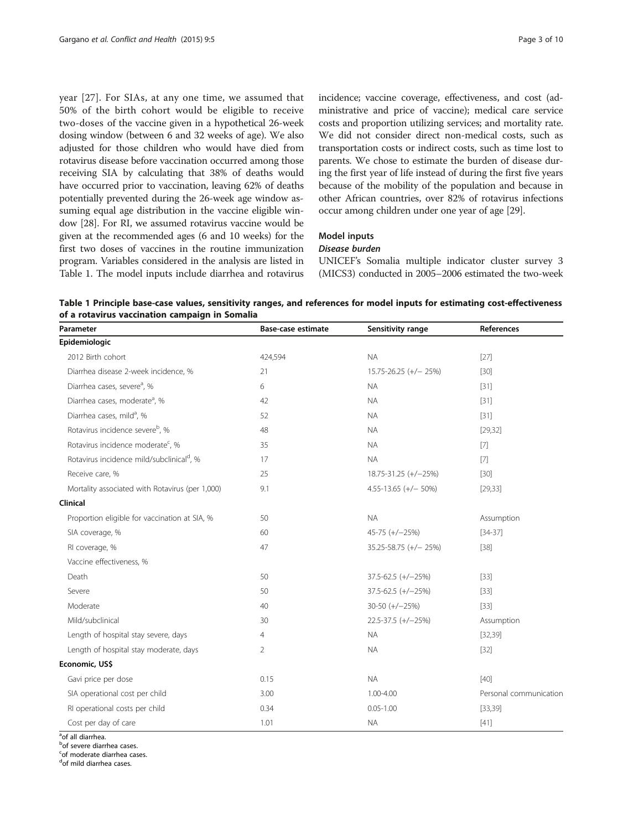<span id="page-2-0"></span>year [\[27](#page-8-0)]. For SIAs, at any one time, we assumed that 50% of the birth cohort would be eligible to receive two-doses of the vaccine given in a hypothetical 26-week dosing window (between 6 and 32 weeks of age). We also adjusted for those children who would have died from rotavirus disease before vaccination occurred among those receiving SIA by calculating that 38% of deaths would have occurred prior to vaccination, leaving 62% of deaths potentially prevented during the 26-week age window assuming equal age distribution in the vaccine eligible window [\[28\]](#page-8-0). For RI, we assumed rotavirus vaccine would be given at the recommended ages (6 and 10 weeks) for the first two doses of vaccines in the routine immunization program. Variables considered in the analysis are listed in Table 1. The model inputs include diarrhea and rotavirus incidence; vaccine coverage, effectiveness, and cost (administrative and price of vaccine); medical care service costs and proportion utilizing services; and mortality rate. We did not consider direct non-medical costs, such as transportation costs or indirect costs, such as time lost to parents. We chose to estimate the burden of disease during the first year of life instead of during the first five years because of the mobility of the population and because in other African countries, over 82% of rotavirus infections occur among children under one year of age [\[29](#page-8-0)].

# Model inputs

# Disease burden

UNICEF's Somalia multiple indicator cluster survey 3 (MICS3) conducted in 2005–2006 estimated the two-week

Table 1 Principle base-case values, sensitivity ranges, and references for model inputs for estimating cost-effectiveness of a rotavirus vaccination campaign in Somalia

| Parameter                                             | <b>Base-case estimate</b> | Sensitivity range                    | <b>References</b>      |  |
|-------------------------------------------------------|---------------------------|--------------------------------------|------------------------|--|
| Epidemiologic                                         |                           |                                      |                        |  |
| 2012 Birth cohort                                     | 424,594                   | <b>NA</b>                            | [27]                   |  |
| Diarrhea disease 2-week incidence, %                  | 21                        | 15.75-26.25 (+/-25%)                 | $[30]$                 |  |
| Diarrhea cases, severe <sup>a</sup> , %               | 6<br><b>NA</b>            |                                      | $[31]$                 |  |
| Diarrhea cases, moderate <sup>a</sup> , %             | 42                        | <b>NA</b>                            | $[31]$                 |  |
| Diarrhea cases, mild <sup>a</sup> , %                 | 52                        | <b>NA</b>                            | $[31]$                 |  |
| Rotavirus incidence severe <sup>b</sup> , %           | 48<br><b>NA</b>           |                                      | [29, 32]               |  |
| Rotavirus incidence moderate <sup>c</sup> , %         | 35                        | <b>NA</b>                            | $[7]$                  |  |
| Rotavirus incidence mild/subclinical <sup>d</sup> , % | 17                        | <b>NA</b>                            | $[7]$                  |  |
| Receive care, %                                       | 25                        | 18.75-31.25 (+/-25%)                 | $[30]$                 |  |
| Mortality associated with Rotavirus (per 1,000)       | 9.1                       | $4.55 - 13.65 (+/- 50%)$<br>[29, 33] |                        |  |
| Clinical                                              |                           |                                      |                        |  |
| Proportion eligible for vaccination at SIA, %         | 50                        | <b>NA</b>                            | Assumption             |  |
| SIA coverage, %                                       | 60                        | 45-75 (+/-25%)                       | $[34-37]$              |  |
| RI coverage, %                                        | 47                        | 35.25-58.75 (+/- 25%)                | $[38]$                 |  |
| Vaccine effectiveness, %                              |                           |                                      |                        |  |
| Death                                                 | 50                        | $37.5 - 62.5 (+/-25%)$               | $[33]$                 |  |
| Severe                                                | 50                        | $37.5 - 62.5 (+/-25%)$               | $[33]$                 |  |
| Moderate                                              | 40                        | $30-50 (+/-25%)$                     | $[33]$                 |  |
| Mild/subclinical                                      | 30                        | 22.5-37.5 (+/-25%)                   | Assumption             |  |
| Length of hospital stay severe, days                  | 4                         | <b>NA</b>                            | [32, 39]               |  |
| Length of hospital stay moderate, days                | $\overline{2}$            | <b>NA</b>                            | $[32]$                 |  |
| Economic, US\$                                        |                           |                                      |                        |  |
| Gavi price per dose                                   | 0.15                      | <b>NA</b>                            | $[40]$                 |  |
| SIA operational cost per child                        | 3.00                      | 1.00-4.00                            | Personal communication |  |
| RI operational costs per child                        | 0.34                      | $0.05 - 1.00$                        | [33, 39]               |  |
| Cost per day of care                                  | 1.01                      | <b>NA</b>                            | $[41]$                 |  |

<sup>a</sup>of all diarrhea.

<sup>b</sup>of severe diarrhea cases.

<sup>c</sup>of moderate diarrhea cases.

<sup>d</sup>of mild diarrhea cases.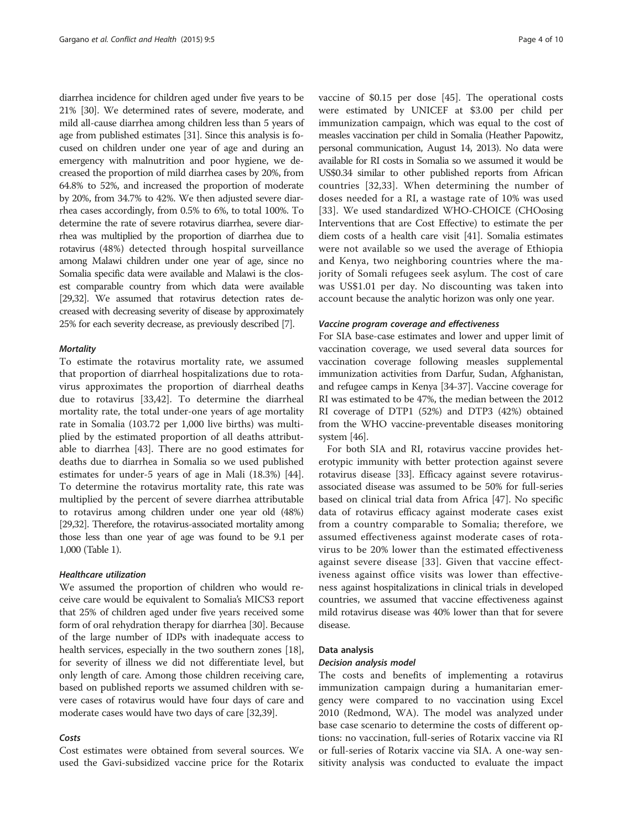diarrhea incidence for children aged under five years to be 21% [\[30\]](#page-8-0). We determined rates of severe, moderate, and mild all-cause diarrhea among children less than 5 years of age from published estimates [[31\]](#page-8-0). Since this analysis is focused on children under one year of age and during an emergency with malnutrition and poor hygiene, we decreased the proportion of mild diarrhea cases by 20%, from 64.8% to 52%, and increased the proportion of moderate by 20%, from 34.7% to 42%. We then adjusted severe diarrhea cases accordingly, from 0.5% to 6%, to total 100%. To determine the rate of severe rotavirus diarrhea, severe diarrhea was multiplied by the proportion of diarrhea due to rotavirus (48%) detected through hospital surveillance among Malawi children under one year of age, since no Somalia specific data were available and Malawi is the closest comparable country from which data were available [[29,32](#page-8-0)]. We assumed that rotavirus detection rates decreased with decreasing severity of disease by approximately 25% for each severity decrease, as previously described [\[7\]](#page-8-0).

### **Mortality**

To estimate the rotavirus mortality rate, we assumed that proportion of diarrheal hospitalizations due to rotavirus approximates the proportion of diarrheal deaths due to rotavirus [\[33](#page-8-0)[,42](#page-9-0)]. To determine the diarrheal mortality rate, the total under-one years of age mortality rate in Somalia (103.72 per 1,000 live births) was multiplied by the estimated proportion of all deaths attributable to diarrhea [[43\]](#page-9-0). There are no good estimates for deaths due to diarrhea in Somalia so we used published estimates for under-5 years of age in Mali (18.3%) [\[44](#page-9-0)]. To determine the rotavirus mortality rate, this rate was multiplied by the percent of severe diarrhea attributable to rotavirus among children under one year old (48%) [[29,32](#page-8-0)]. Therefore, the rotavirus-associated mortality among those less than one year of age was found to be 9.1 per 1,000 (Table [1](#page-2-0)).

# Healthcare utilization

We assumed the proportion of children who would receive care would be equivalent to Somalia's MICS3 report that 25% of children aged under five years received some form of oral rehydration therapy for diarrhea [\[30\]](#page-8-0). Because of the large number of IDPs with inadequate access to health services, especially in the two southern zones [[18](#page-8-0)], for severity of illness we did not differentiate level, but only length of care. Among those children receiving care, based on published reports we assumed children with severe cases of rotavirus would have four days of care and moderate cases would have two days of care [[32,39\]](#page-8-0).

# Costs

Cost estimates were obtained from several sources. We used the Gavi-subsidized vaccine price for the Rotarix vaccine of \$0.15 per dose [\[45](#page-9-0)]. The operational costs were estimated by UNICEF at \$3.00 per child per immunization campaign, which was equal to the cost of measles vaccination per child in Somalia (Heather Papowitz, personal communication, August 14, 2013). No data were available for RI costs in Somalia so we assumed it would be US\$0.34 similar to other published reports from African countries [[32,33\]](#page-8-0). When determining the number of doses needed for a RI, a wastage rate of 10% was used [[33](#page-8-0)]. We used standardized WHO-CHOICE (CHOosing Interventions that are Cost Effective) to estimate the per diem costs of a health care visit [[41](#page-8-0)]. Somalia estimates were not available so we used the average of Ethiopia and Kenya, two neighboring countries where the majority of Somali refugees seek asylum. The cost of care was US\$1.01 per day. No discounting was taken into account because the analytic horizon was only one year.

# Vaccine program coverage and effectiveness

For SIA base-case estimates and lower and upper limit of vaccination coverage, we used several data sources for vaccination coverage following measles supplemental immunization activities from Darfur, Sudan, Afghanistan, and refugee camps in Kenya [\[34](#page-8-0)-[37](#page-8-0)]. Vaccine coverage for RI was estimated to be 47%, the median between the 2012 RI coverage of DTP1 (52%) and DTP3 (42%) obtained from the WHO vaccine-preventable diseases monitoring system [[46](#page-9-0)].

For both SIA and RI, rotavirus vaccine provides heterotypic immunity with better protection against severe rotavirus disease [\[33](#page-8-0)]. Efficacy against severe rotavirusassociated disease was assumed to be 50% for full-series based on clinical trial data from Africa [\[47](#page-9-0)]. No specific data of rotavirus efficacy against moderate cases exist from a country comparable to Somalia; therefore, we assumed effectiveness against moderate cases of rotavirus to be 20% lower than the estimated effectiveness against severe disease [\[33\]](#page-8-0). Given that vaccine effectiveness against office visits was lower than effectiveness against hospitalizations in clinical trials in developed countries, we assumed that vaccine effectiveness against mild rotavirus disease was 40% lower than that for severe disease.

### Data analysis

#### Decision analysis model

The costs and benefits of implementing a rotavirus immunization campaign during a humanitarian emergency were compared to no vaccination using Excel 2010 (Redmond, WA). The model was analyzed under base case scenario to determine the costs of different options: no vaccination, full-series of Rotarix vaccine via RI or full-series of Rotarix vaccine via SIA. A one-way sensitivity analysis was conducted to evaluate the impact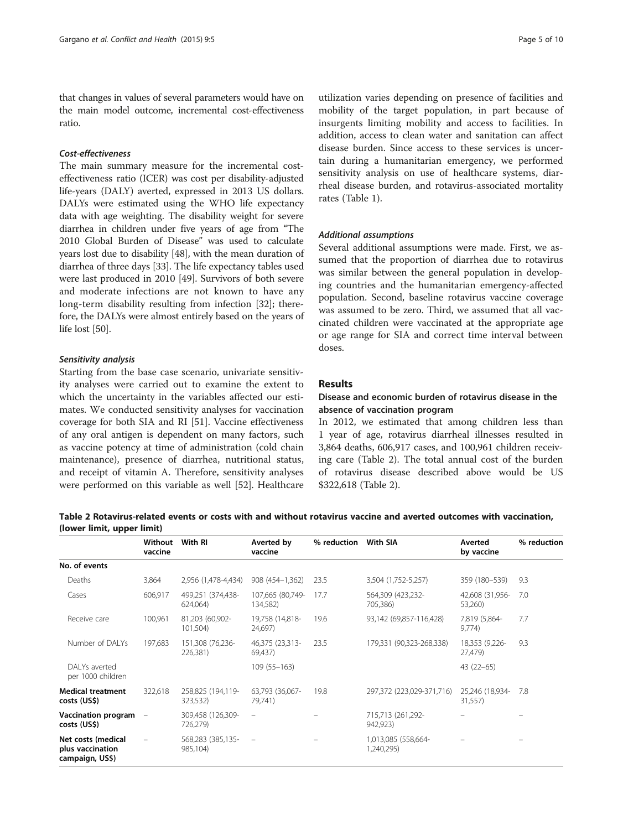<span id="page-4-0"></span>that changes in values of several parameters would have on the main model outcome, incremental cost-effectiveness ratio.

# Cost-effectiveness

The main summary measure for the incremental costeffectiveness ratio (ICER) was cost per disability-adjusted life-years (DALY) averted, expressed in 2013 US dollars. DALYs were estimated using the WHO life expectancy data with age weighting. The disability weight for severe diarrhea in children under five years of age from "The 2010 Global Burden of Disease" was used to calculate years lost due to disability [\[48\]](#page-9-0), with the mean duration of diarrhea of three days [\[33\]](#page-8-0). The life expectancy tables used were last produced in 2010 [[49](#page-9-0)]. Survivors of both severe and moderate infections are not known to have any long-term disability resulting from infection [[32](#page-8-0)]; therefore, the DALYs were almost entirely based on the years of life lost [\[50\]](#page-9-0).

# Sensitivity analysis

Starting from the base case scenario, univariate sensitivity analyses were carried out to examine the extent to which the uncertainty in the variables affected our estimates. We conducted sensitivity analyses for vaccination coverage for both SIA and RI [[51\]](#page-9-0). Vaccine effectiveness of any oral antigen is dependent on many factors, such as vaccine potency at time of administration (cold chain maintenance), presence of diarrhea, nutritional status, and receipt of vitamin A. Therefore, sensitivity analyses were performed on this variable as well [[52](#page-9-0)]. Healthcare

utilization varies depending on presence of facilities and mobility of the target population, in part because of insurgents limiting mobility and access to facilities. In addition, access to clean water and sanitation can affect disease burden. Since access to these services is uncertain during a humanitarian emergency, we performed sensitivity analysis on use of healthcare systems, diarrheal disease burden, and rotavirus-associated mortality rates (Table [1](#page-2-0)).

# Additional assumptions

Several additional assumptions were made. First, we assumed that the proportion of diarrhea due to rotavirus was similar between the general population in developing countries and the humanitarian emergency-affected population. Second, baseline rotavirus vaccine coverage was assumed to be zero. Third, we assumed that all vaccinated children were vaccinated at the appropriate age or age range for SIA and correct time interval between doses.

# **Results**

# Disease and economic burden of rotavirus disease in the absence of vaccination program

In 2012, we estimated that among children less than 1 year of age, rotavirus diarrheal illnesses resulted in 3,864 deaths, 606,917 cases, and 100,961 children receiving care (Table 2). The total annual cost of the burden of rotavirus disease described above would be US \$322,618 (Table 2).

Table 2 Rotavirus-related events or costs with and without rotavirus vaccine and averted outcomes with vaccination, (lower limit, upper limit)

|                                                           | Without<br>vaccine       | With RI                       | Averted by<br>vaccine        | % reduction | With SIA                          | Averted<br>by vaccine      | % reduction |
|-----------------------------------------------------------|--------------------------|-------------------------------|------------------------------|-------------|-----------------------------------|----------------------------|-------------|
| No. of events                                             |                          |                               |                              |             |                                   |                            |             |
| Deaths                                                    | 3,864                    | 2,956 (1,478-4,434)           | 908 (454-1,362)              | 23.5        | 3,504 (1,752-5,257)               | 359 (180-539)              | 9.3         |
| Cases                                                     | 606,917                  | 499,251 (374,438-<br>624,064) | 107,665 (80,749-<br>134,582) | 17.7        | 564,309 (423,232-<br>705,386)     | 42,608 (31,956-<br>53,260) | 7.0         |
| Receive care                                              | 100,961                  | 81,203 (60,902-<br>101,504)   | 19,758 (14,818-<br>24,697)   | 19.6        | 93,142 (69,857-116,428)           | 7,819 (5,864-<br>9,774)    | 7.7         |
| Number of DALYs                                           | 197,683                  | 151,308 (76,236-<br>226,381)  | 46,375 (23,313-<br>69,437)   | 23.5        | 179,331 (90,323-268,338)          | 18,353 (9,226-<br>27,479)  | 9.3         |
| DALYs averted<br>per 1000 children                        |                          |                               | $109(55 - 163)$              |             |                                   | $43(22-65)$                |             |
| <b>Medical treatment</b><br>costs (US\$)                  | 322,618                  | 258,825 (194,119-<br>323,532) | 63,793 (36,067-<br>79,741)   | 19.8        | 297,372 (223,029-371,716)         | 25,246 (18,934-<br>31,557) | 7.8         |
| Vaccination program -<br>costs (US\$)                     |                          | 309,458 (126,309-<br>726,279) | $\qquad \qquad =$            |             | 715,713 (261,292-<br>942,923)     |                            |             |
| Net costs (medical<br>plus vaccination<br>campaign, US\$) | $\overline{\phantom{m}}$ | 568,283 (385,135-<br>985,104) | $\sim$                       |             | 1,013,085 (558,664-<br>1,240,295) |                            |             |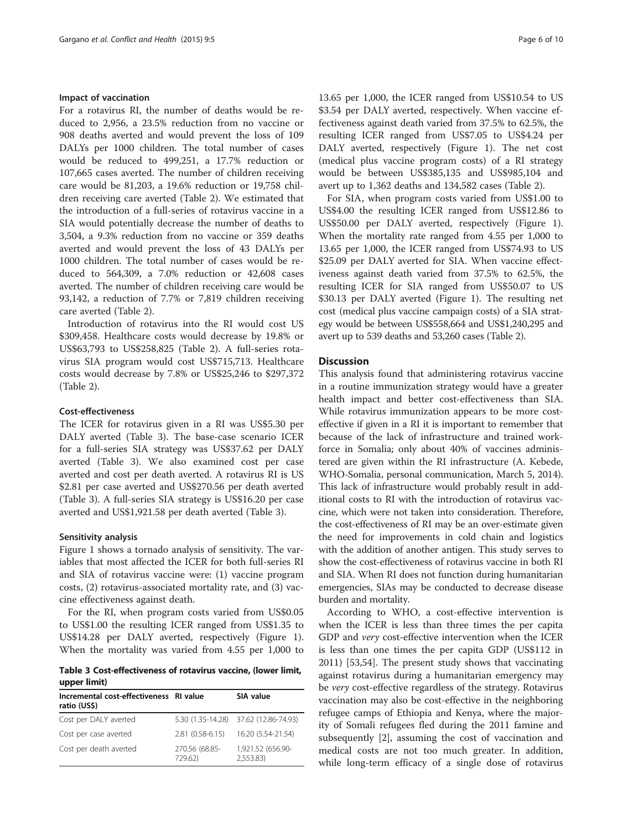#### Impact of vaccination

For a rotavirus RI, the number of deaths would be reduced to 2,956, a 23.5% reduction from no vaccine or 908 deaths averted and would prevent the loss of 109 DALYs per 1000 children. The total number of cases would be reduced to 499,251, a 17.7% reduction or 107,665 cases averted. The number of children receiving care would be 81,203, a 19.6% reduction or 19,758 children receiving care averted (Table [2\)](#page-4-0). We estimated that the introduction of a full-series of rotavirus vaccine in a SIA would potentially decrease the number of deaths to 3,504, a 9.3% reduction from no vaccine or 359 deaths averted and would prevent the loss of 43 DALYs per 1000 children. The total number of cases would be reduced to 564,309, a 7.0% reduction or 42,608 cases averted. The number of children receiving care would be 93,142, a reduction of 7.7% or 7,819 children receiving care averted (Table [2](#page-4-0)).

Introduction of rotavirus into the RI would cost US \$309,458. Healthcare costs would decrease by 19.8% or US\$63,793 to US\$258,825 (Table [2\)](#page-4-0). A full-series rotavirus SIA program would cost US\$715,713. Healthcare costs would decrease by 7.8% or US\$25,246 to \$297,372 (Table [2\)](#page-4-0).

#### Cost-effectiveness

The ICER for rotavirus given in a RI was US\$5.30 per DALY averted (Table 3). The base-case scenario ICER for a full-series SIA strategy was US\$37.62 per DALY averted (Table 3). We also examined cost per case averted and cost per death averted. A rotavirus RI is US \$2.81 per case averted and US\$270.56 per death averted (Table 3). A full-series SIA strategy is US\$16.20 per case averted and US\$1,921.58 per death averted (Table 3).

# Sensitivity analysis

Figure [1](#page-6-0) shows a tornado analysis of sensitivity. The variables that most affected the ICER for both full-series RI and SIA of rotavirus vaccine were: (1) vaccine program costs, (2) rotavirus-associated mortality rate, and (3) vaccine effectiveness against death.

For the RI, when program costs varied from US\$0.05 to US\$1.00 the resulting ICER ranged from US\$1.35 to US\$14.28 per DALY averted, respectively (Figure [1](#page-6-0)). When the mortality was varied from 4.55 per 1,000 to

Table 3 Cost-effectiveness of rotavirus vaccine, (lower limit, upper limit)

| Incremental cost-effectiveness RI value<br>ratio (US\$) |                           | SIA value                             |
|---------------------------------------------------------|---------------------------|---------------------------------------|
| Cost per DALY averted                                   |                           | 5.30 (1.35-14.28) 37.62 (12.86-74.93) |
| Cost per case averted                                   | 2.81 (0.58-6.15)          | 16.20 (5.54-21.54)                    |
| Cost per death averted                                  | 270.56 (68.85-<br>729.62) | 1,921.52 (656.90-<br>2,553.83)        |

13.65 per 1,000, the ICER ranged from US\$10.54 to US \$3.54 per DALY averted, respectively. When vaccine effectiveness against death varied from 37.5% to 62.5%, the resulting ICER ranged from US\$7.05 to US\$4.24 per DALY averted, respectively (Figure [1](#page-6-0)). The net cost (medical plus vaccine program costs) of a RI strategy would be between US\$385,135 and US\$985,104 and avert up to 1,362 deaths and 134,582 cases (Table [2\)](#page-4-0).

For SIA, when program costs varied from US\$1.00 to US\$4.00 the resulting ICER ranged from US\$12.86 to US\$50.00 per DALY averted, respectively (Figure [1](#page-6-0)). When the mortality rate ranged from 4.55 per 1,000 to 13.65 per 1,000, the ICER ranged from US\$74.93 to US \$25.09 per DALY averted for SIA. When vaccine effectiveness against death varied from 37.5% to 62.5%, the resulting ICER for SIA ranged from US\$50.07 to US \$30.13 per DALY averted (Figure [1](#page-6-0)). The resulting net cost (medical plus vaccine campaign costs) of a SIA strategy would be between US\$558,664 and US\$1,240,295 and avert up to 539 deaths and 53,260 cases (Table [2\)](#page-4-0).

#### **Discussion**

This analysis found that administering rotavirus vaccine in a routine immunization strategy would have a greater health impact and better cost-effectiveness than SIA. While rotavirus immunization appears to be more costeffective if given in a RI it is important to remember that because of the lack of infrastructure and trained workforce in Somalia; only about 40% of vaccines administered are given within the RI infrastructure (A. Kebede, WHO-Somalia, personal communication, March 5, 2014). This lack of infrastructure would probably result in additional costs to RI with the introduction of rotavirus vaccine, which were not taken into consideration. Therefore, the cost-effectiveness of RI may be an over-estimate given the need for improvements in cold chain and logistics with the addition of another antigen. This study serves to show the cost-effectiveness of rotavirus vaccine in both RI and SIA. When RI does not function during humanitarian emergencies, SIAs may be conducted to decrease disease burden and mortality.

According to WHO, a cost-effective intervention is when the ICER is less than three times the per capita GDP and *very* cost-effective intervention when the ICER is less than one times the per capita GDP (US\$112 in 2011) [\[53,54](#page-9-0)]. The present study shows that vaccinating against rotavirus during a humanitarian emergency may be very cost-effective regardless of the strategy. Rotavirus vaccination may also be cost-effective in the neighboring refugee camps of Ethiopia and Kenya, where the majority of Somali refugees fled during the 2011 famine and subsequently [\[2\]](#page-8-0), assuming the cost of vaccination and medical costs are not too much greater. In addition, while long-term efficacy of a single dose of rotavirus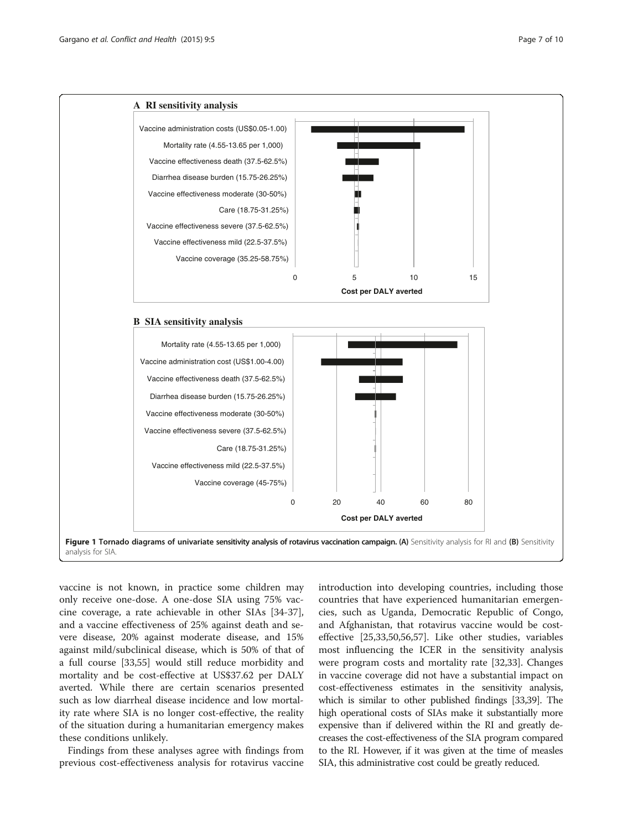<span id="page-6-0"></span>

vaccine is not known, in practice some children may only receive one-dose. A one-dose SIA using 75% vaccine coverage, a rate achievable in other SIAs [\[34-37](#page-8-0)], and a vaccine effectiveness of 25% against death and severe disease, 20% against moderate disease, and 15% against mild/subclinical disease, which is 50% of that of a full course [[33,](#page-8-0)[55\]](#page-9-0) would still reduce morbidity and mortality and be cost-effective at US\$37.62 per DALY averted. While there are certain scenarios presented such as low diarrheal disease incidence and low mortality rate where SIA is no longer cost-effective, the reality of the situation during a humanitarian emergency makes these conditions unlikely.

Findings from these analyses agree with findings from previous cost-effectiveness analysis for rotavirus vaccine introduction into developing countries, including those countries that have experienced humanitarian emergencies, such as Uganda, Democratic Republic of Congo, and Afghanistan, that rotavirus vaccine would be costeffective [\[25,33](#page-8-0)[,50,56,57\]](#page-9-0). Like other studies, variables most influencing the ICER in the sensitivity analysis were program costs and mortality rate [\[32,33\]](#page-8-0). Changes in vaccine coverage did not have a substantial impact on cost-effectiveness estimates in the sensitivity analysis, which is similar to other published findings [\[33,39](#page-8-0)]. The high operational costs of SIAs make it substantially more expensive than if delivered within the RI and greatly decreases the cost-effectiveness of the SIA program compared to the RI. However, if it was given at the time of measles SIA, this administrative cost could be greatly reduced.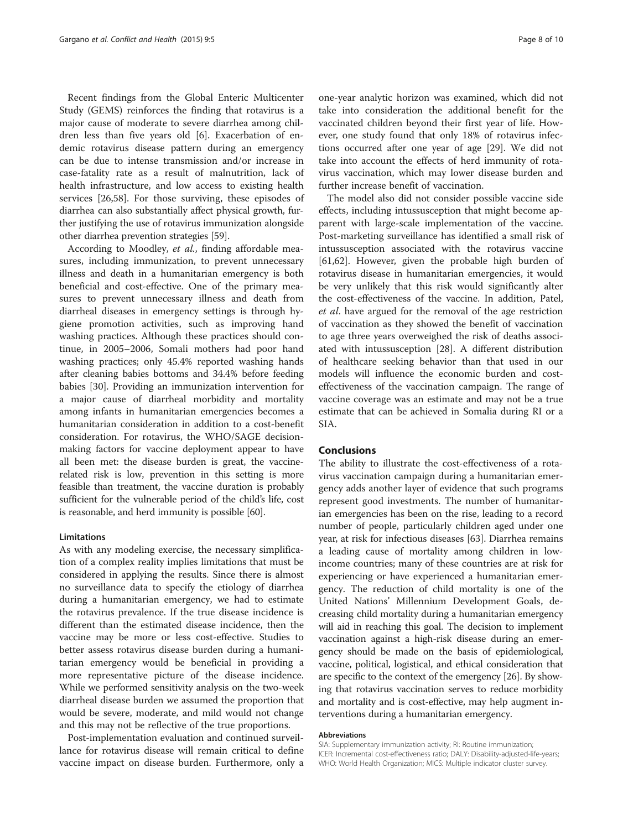Recent findings from the Global Enteric Multicenter Study (GEMS) reinforces the finding that rotavirus is a major cause of moderate to severe diarrhea among children less than five years old [\[6](#page-8-0)]. Exacerbation of endemic rotavirus disease pattern during an emergency can be due to intense transmission and/or increase in case-fatality rate as a result of malnutrition, lack of health infrastructure, and low access to existing health services [\[26](#page-8-0)[,58](#page-9-0)]. For those surviving, these episodes of diarrhea can also substantially affect physical growth, further justifying the use of rotavirus immunization alongside other diarrhea prevention strategies [[59](#page-9-0)].

According to Moodley, et al., finding affordable measures, including immunization, to prevent unnecessary illness and death in a humanitarian emergency is both beneficial and cost-effective. One of the primary measures to prevent unnecessary illness and death from diarrheal diseases in emergency settings is through hygiene promotion activities, such as improving hand washing practices. Although these practices should continue, in 2005–2006, Somali mothers had poor hand washing practices; only 45.4% reported washing hands after cleaning babies bottoms and 34.4% before feeding babies [[30\]](#page-8-0). Providing an immunization intervention for a major cause of diarrheal morbidity and mortality among infants in humanitarian emergencies becomes a humanitarian consideration in addition to a cost-benefit consideration. For rotavirus, the WHO/SAGE decisionmaking factors for vaccine deployment appear to have all been met: the disease burden is great, the vaccinerelated risk is low, prevention in this setting is more feasible than treatment, the vaccine duration is probably sufficient for the vulnerable period of the child's life, cost is reasonable, and herd immunity is possible [\[60\]](#page-9-0).

# Limitations

As with any modeling exercise, the necessary simplification of a complex reality implies limitations that must be considered in applying the results. Since there is almost no surveillance data to specify the etiology of diarrhea during a humanitarian emergency, we had to estimate the rotavirus prevalence. If the true disease incidence is different than the estimated disease incidence, then the vaccine may be more or less cost-effective. Studies to better assess rotavirus disease burden during a humanitarian emergency would be beneficial in providing a more representative picture of the disease incidence. While we performed sensitivity analysis on the two-week diarrheal disease burden we assumed the proportion that would be severe, moderate, and mild would not change and this may not be reflective of the true proportions.

Post-implementation evaluation and continued surveillance for rotavirus disease will remain critical to define vaccine impact on disease burden. Furthermore, only a

one-year analytic horizon was examined, which did not take into consideration the additional benefit for the vaccinated children beyond their first year of life. However, one study found that only 18% of rotavirus infections occurred after one year of age [\[29](#page-8-0)]. We did not take into account the effects of herd immunity of rotavirus vaccination, which may lower disease burden and further increase benefit of vaccination.

The model also did not consider possible vaccine side effects, including intussusception that might become apparent with large-scale implementation of the vaccine. Post-marketing surveillance has identified a small risk of intussusception associated with the rotavirus vaccine [[61,62\]](#page-9-0). However, given the probable high burden of rotavirus disease in humanitarian emergencies, it would be very unlikely that this risk would significantly alter the cost-effectiveness of the vaccine. In addition, Patel, et al. have argued for the removal of the age restriction of vaccination as they showed the benefit of vaccination to age three years overweighed the risk of deaths associated with intussusception [\[28](#page-8-0)]. A different distribution of healthcare seeking behavior than that used in our models will influence the economic burden and costeffectiveness of the vaccination campaign. The range of vaccine coverage was an estimate and may not be a true estimate that can be achieved in Somalia during RI or a SIA.

### Conclusions

The ability to illustrate the cost-effectiveness of a rotavirus vaccination campaign during a humanitarian emergency adds another layer of evidence that such programs represent good investments. The number of humanitarian emergencies has been on the rise, leading to a record number of people, particularly children aged under one year, at risk for infectious diseases [[63](#page-9-0)]. Diarrhea remains a leading cause of mortality among children in lowincome countries; many of these countries are at risk for experiencing or have experienced a humanitarian emergency. The reduction of child mortality is one of the United Nations' Millennium Development Goals, decreasing child mortality during a humanitarian emergency will aid in reaching this goal. The decision to implement vaccination against a high-risk disease during an emergency should be made on the basis of epidemiological, vaccine, political, logistical, and ethical consideration that are specific to the context of the emergency [\[26\]](#page-8-0). By showing that rotavirus vaccination serves to reduce morbidity and mortality and is cost-effective, may help augment interventions during a humanitarian emergency.

#### Abbreviations

SIA: Supplementary immunization activity; RI: Routine immunization; ICER: Incremental cost-effectiveness ratio; DALY: Disability-adjusted-life-years; WHO: World Health Organization; MICS: Multiple indicator cluster survey.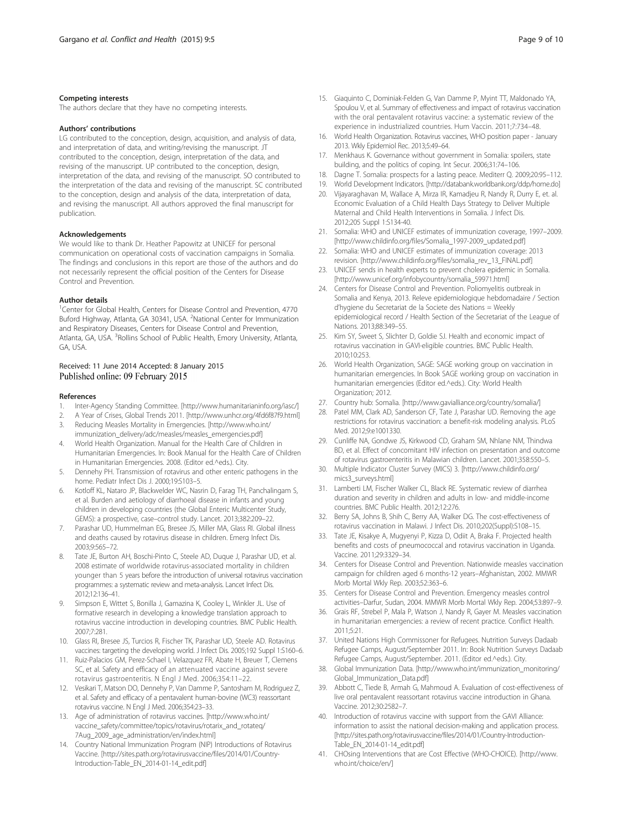#### <span id="page-8-0"></span>Competing interests

The authors declare that they have no competing interests.

#### Authors' contributions

LG contributed to the conception, design, acquisition, and analysis of data, and interpretation of data, and writing/revising the manuscript. JT contributed to the conception, design, interpretation of the data, and revising of the manuscript. UP contributed to the conception, design, interpretation of the data, and revising of the manuscript. SO contributed to the interpretation of the data and revising of the manuscript. SC contributed to the conception, design and analysis of the data, interpretation of data, and revising the manuscript. All authors approved the final manuscript for publication.

### Acknowledgements

We would like to thank Dr. Heather Papowitz at UNICEF for personal communication on operational costs of vaccination campaigns in Somalia. The findings and conclusions in this report are those of the authors and do not necessarily represent the official position of the Centers for Disease Control and Prevention.

#### Author details

<sup>1</sup>Center for Global Health, Centers for Disease Control and Prevention, 4770 Buford Highway, Atlanta, GA 30341, USA. <sup>2</sup>National Center for Immunization and Respiratory Diseases, Centers for Disease Control and Prevention, Atlanta, GA, USA. <sup>3</sup>Rollins School of Public Health, Emory University, Atlanta, GA, USA.

# Received: 11 June 2014 Accepted: 8 January 2015<br>Published online: 09 February 2015

#### References

- 1. Inter-Agency Standing Committee. [<http://www.humanitarianinfo.org/iasc/>]
- 2. A Year of Crises, Global Trends 2011. [<http://www.unhcr.org/4fd6f87f9.html>]
- 3. Reducing Measles Mortality in Emergencies. [[http://www.who.int/](http://www.who.int/immunization_delivery/adc/measles/measles_emergencies.pdf)
- [immunization\\_delivery/adc/measles/measles\\_emergencies.pdf\]](http://www.who.int/immunization_delivery/adc/measles/measles_emergencies.pdf) 4. World Health Organization. Manual for the Health Care of Children in Humanitarian Emergencies. In: Book Manual for the Health Care of Children in Humanitarian Emergencies. 2008. (Editor ed.^eds.). City.
- 5. Dennehy PH. Transmission of rotavirus and other enteric pathogens in the home. Pediatr Infect Dis J. 2000;19:S103-5.
- 6. Kotloff KL, Nataro JP, Blackwelder WC, Nasrin D, Farag TH, Panchalingam S, et al. Burden and aetiology of diarrhoeal disease in infants and young children in developing countries (the Global Enteric Multicenter Study, GEMS): a prospective, case–control study. Lancet. 2013;382:209–22.
- 7. Parashar UD, Hummelman EG, Bresee JS, Miller MA, Glass RI. Global illness and deaths caused by rotavirus disease in children. Emerg Infect Dis. 2003;9:565–72.
- 8. Tate JE, Burton AH, Boschi-Pinto C, Steele AD, Duque J, Parashar UD, et al. 2008 estimate of worldwide rotavirus-associated mortality in children younger than 5 years before the introduction of universal rotavirus vaccination programmes: a systematic review and meta-analysis. Lancet Infect Dis. 2012;12:136–41.
- 9. Simpson E, Wittet S, Bonilla J, Gamazina K, Cooley L, Winkler JL. Use of formative research in developing a knowledge translation approach to rotavirus vaccine introduction in developing countries. BMC Public Health. 2007;7:281.
- 10. Glass RI, Bresee JS, Turcios R, Fischer TK, Parashar UD, Steele AD. Rotavirus vaccines: targeting the developing world. J Infect Dis. 2005;192 Suppl 1:S160–6.
- 11. Ruiz-Palacios GM, Perez-Schael I, Velazquez FR, Abate H, Breuer T, Clemens SC, et al. Safety and efficacy of an attenuated vaccine against severe rotavirus gastroenteritis. N Engl J Med. 2006;354:11–22.
- 12. Vesikari T, Matson DO, Dennehy P, Van Damme P, Santosham M, Rodriguez Z, et al. Safety and efficacy of a pentavalent human-bovine (WC3) reassortant rotavirus vaccine. N Engl J Med. 2006;354:23–33.
- 13. Age of administration of rotavirus vaccines. [\[http://www.who.int/](http://www.who.int/vaccine_safety/committee/topics/rotavirus/rotarix_and_rotateq/7Aug_2009_age_administration/en/index.html) [vaccine\\_safety/committee/topics/rotavirus/rotarix\\_and\\_rotateq/](http://www.who.int/vaccine_safety/committee/topics/rotavirus/rotarix_and_rotateq/7Aug_2009_age_administration/en/index.html) [7Aug\\_2009\\_age\\_administration/en/index.html](http://www.who.int/vaccine_safety/committee/topics/rotavirus/rotarix_and_rotateq/7Aug_2009_age_administration/en/index.html)]
- 14. Country National Immunization Program (NIP) Introductions of Rotavirus Vaccine. [[http://sites.path.org/rotavirusvaccine/files/2014/01/Country-](http://sites.path.org/rotavirusvaccine/files/2014/01/Country-Introduction-Table_EN_2014-01-14_edit.pdf)[Introduction-Table\\_EN\\_2014-01-14\\_edit.pdf\]](http://sites.path.org/rotavirusvaccine/files/2014/01/Country-Introduction-Table_EN_2014-01-14_edit.pdf)
- 15. Giaquinto C, Dominiak-Felden G, Van Damme P, Myint TT, Maldonado YA, Spoulou V, et al. Summary of effectiveness and impact of rotavirus vaccination with the oral pentavalent rotavirus vaccine: a systematic review of the experience in industrialized countries. Hum Vaccin. 2011;7:734–48.
- 16. World Health Organization. Rotavirus vaccines, WHO position paper January 2013. Wkly Epidemiol Rec. 2013;5:49–64.
- 17. Menkhaus K. Governance without government in Somalia: spoilers, state building, and the politics of coping. Int Secur. 2006;31:74–106.
- 18. Dagne T. Somalia: prospects for a lasting peace. Mediterr Q. 2009;20:95–112.
- 19. World Development Indicators. [\[http://databank.worldbank.org/ddp/home.do](http://databank.worldbank.org/ddp/home.do)]
- 20. Vijayaraghavan M, Wallace A, Mirza IR, Kamadjeu R, Nandy R, Durry E, et. al. Economic Evaluation of a Child Health Days Strategy to Deliver Multiple Maternal and Child Health Interventions in Somalia. J Infect Dis. 2012;205 Suppl 1:S134-40.
- 21. Somalia: WHO and UNICEF estimates of immunization coverage, 1997–2009. [[http://www.childinfo.org/files/Somalia\\_1997-2009\\_updated.pdf\]](http://www.childinfo.org/files/Somalia_1997-2009_updated.pdf)
- 22. Somalia: WHO and UNICEF estimates of immunization coverage: 2013 revision. [[http://www.childinfo.org/files/somalia\\_rev\\_13\\_FINAL.pdf\]](http://www.childinfo.org/files/somalia_rev_13_FINAL.pdf)
- 23. UNICEF sends in health experts to prevent cholera epidemic in Somalia. [[http://www.unicef.org/infobycountry/somalia\\_59971.html](http://www.unicef.org/infobycountry/somalia_59971.html)]
- 24. Centers for Disease Control and Prevention. Poliomyelitis outbreak in Somalia and Kenya, 2013. Releve epidemiologique hebdomadaire / Section d'hygiene du Secretariat de la Societe des Nations = Weekly epidemiological record / Health Section of the Secretariat of the League of Nations. 2013;88:349–55.
- 25. Kim SY, Sweet S, Slichter D, Goldie SJ. Health and economic impact of rotavirus vaccination in GAVI-eligible countries. BMC Public Health. 2010;10:253.
- 26. World Health Organization, SAGE: SAGE working group on vaccination in humanitarian emergencies. In Book SAGE working group on vaccination in humanitarian emergencies (Editor ed.^eds.). City: World Health Organization; 2012.
- 27. Country hub: Somalia. [<http://www.gavialliance.org/country/somalia/>]
- 28. Patel MM, Clark AD, Sanderson CF, Tate J, Parashar UD. Removing the age restrictions for rotavirus vaccination: a benefit-risk modeling analysis. PLoS Med. 2012;9:e1001330.
- 29. Cunliffe NA, Gondwe JS, Kirkwood CD, Graham SM, Nhlane NM, Thindwa BD, et al. Effect of concomitant HIV infection on presentation and outcome of rotavirus gastroenteritis in Malawian children. Lancet. 2001;358:550–5.
- 30. Multiple Indicator Cluster Survey (MICS) 3. [\[http://www.childinfo.org/](http://www.childinfo.org/mics3_surveys.html) [mics3\\_surveys.html\]](http://www.childinfo.org/mics3_surveys.html)
- 31. Lamberti LM, Fischer Walker CL, Black RE. Systematic review of diarrhea duration and severity in children and adults in low- and middle-income countries. BMC Public Health. 2012;12:276.
- 32. Berry SA, Johns B, Shih C, Berry AA, Walker DG. The cost-effectiveness of rotavirus vaccination in Malawi. J Infect Dis. 2010;202(Suppl):S108–15.
- 33. Tate JE, Kisakye A, Mugyenyi P, Kizza D, Odiit A, Braka F. Projected health benefits and costs of pneumococcal and rotavirus vaccination in Uganda. Vaccine. 2011;29:3329–34.
- 34. Centers for Disease Control and Prevention. Nationwide measles vaccination campaign for children aged 6 months-12 years–Afghanistan, 2002. MMWR Morb Mortal Wkly Rep. 2003;52:363–6.
- 35. Centers for Disease Control and Prevention. Emergency measles control activities–Darfur, Sudan, 2004. MMWR Morb Mortal Wkly Rep. 2004;53:897–9.
- 36. Grais RF, Strebel P, Mala P, Watson J, Nandy R, Gayer M. Measles vaccination in humanitarian emergencies: a review of recent practice. Conflict Health. 2011;5:21.
- 37. United Nations High Commissoner for Refugees. Nutrition Surveys Dadaab Refugee Camps, August/September 2011. In: Book Nutrition Surveys Dadaab Refugee Camps, August/September. 2011. (Editor ed.^eds.). City.
- 38. Global Immunization Data. [[http://www.who.int/immunization\\_monitoring/](http://www.who.int/immunization_monitoring/Global_Immunization_Data.pdf) [Global\\_Immunization\\_Data.pdf](http://www.who.int/immunization_monitoring/Global_Immunization_Data.pdf)]
- 39. Abbott C, Tiede B, Armah G, Mahmoud A. Evaluation of cost-effectiveness of live oral pentavalent reassortant rotavirus vaccine introduction in Ghana. Vaccine. 2012;30:2582–7.
- 40. Introduction of rotavirus vaccine with support from the GAVI Alliance: information to assist the national decision-making and application process. [[http://sites.path.org/rotavirusvaccine/files/2014/01/Country-Introduction-](http://sites.path.org/rotavirusvaccine/files/2014/01/Country-Introduction-Table_EN_2014-01-14_edit.pdf)[Table\\_EN\\_2014-01-14\\_edit.pdf](http://sites.path.org/rotavirusvaccine/files/2014/01/Country-Introduction-Table_EN_2014-01-14_edit.pdf)]
- 41. CHOsing Interventions that are Cost Effective (WHO-CHOICE). [[http://www.](http://www.who.int/choice/en/) [who.int/choice/en/](http://www.who.int/choice/en/)]